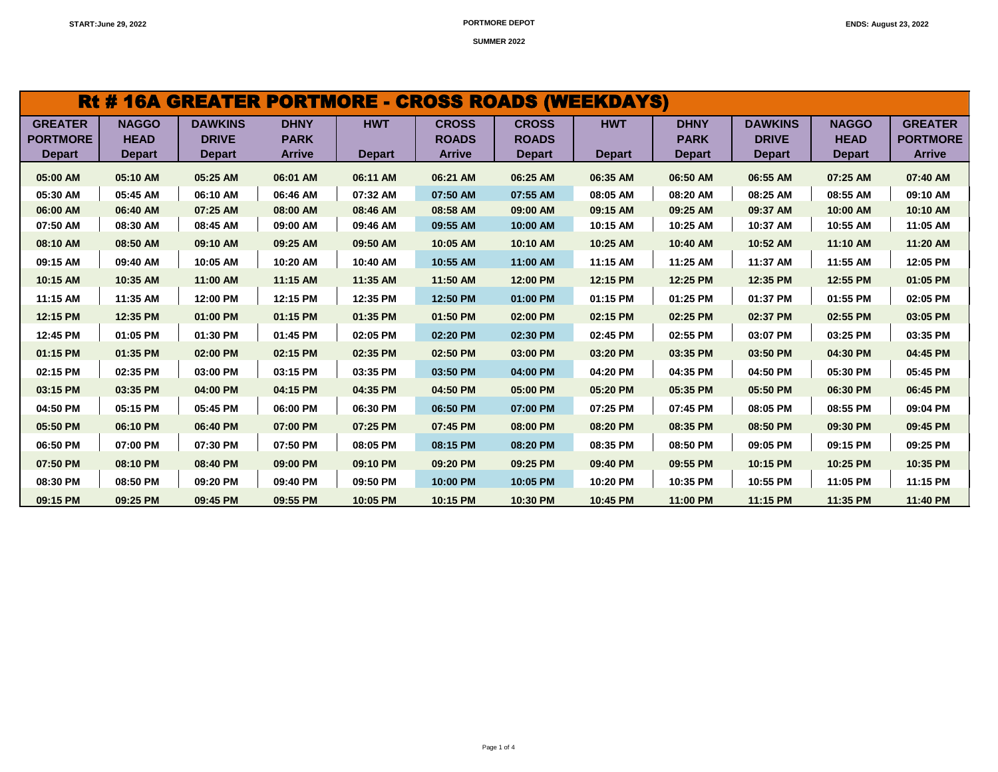|                                   |                             | <b>Rt # 16A GREATER PORTMORE - CROSS ROADS (WEEKDAYS)</b> |                            |               |                              |                              |               |                            |                                |                             |                                   |
|-----------------------------------|-----------------------------|-----------------------------------------------------------|----------------------------|---------------|------------------------------|------------------------------|---------------|----------------------------|--------------------------------|-----------------------------|-----------------------------------|
| <b>GREATER</b><br><b>PORTMORE</b> | <b>NAGGO</b><br><b>HEAD</b> | <b>DAWKINS</b><br><b>DRIVE</b>                            | <b>DHNY</b><br><b>PARK</b> | <b>HWT</b>    | <b>CROSS</b><br><b>ROADS</b> | <b>CROSS</b><br><b>ROADS</b> | <b>HWT</b>    | <b>DHNY</b><br><b>PARK</b> | <b>DAWKINS</b><br><b>DRIVE</b> | <b>NAGGO</b><br><b>HEAD</b> | <b>GREATER</b><br><b>PORTMORE</b> |
| <b>Depart</b>                     | <b>Depart</b>               | <b>Depart</b>                                             | <b>Arrive</b>              | <b>Depart</b> | <b>Arrive</b>                | <b>Depart</b>                | <b>Depart</b> | <b>Depart</b>              | <b>Depart</b>                  | <b>Depart</b>               | <b>Arrive</b>                     |
| 05:00 AM                          | 05:10 AM                    | 05:25 AM                                                  | 06:01 AM                   | 06:11 AM      | 06:21 AM                     | 06:25 AM                     | 06:35 AM      | 06:50 AM                   | 06:55 AM                       | 07:25 AM                    | 07:40 AM                          |
| 05:30 AM                          | 05:45 AM                    | 06:10 AM                                                  | 06:46 AM                   | 07:32 AM      | 07:50 AM                     | 07:55 AM                     | 08:05 AM      | 08:20 AM                   | 08:25 AM                       | 08:55 AM                    | 09:10 AM                          |
| 06:00 AM                          | 06:40 AM                    | 07:25 AM                                                  | 08:00 AM                   | 08:46 AM      | 08:58 AM                     | 09:00 AM                     | 09:15 AM      | 09:25 AM                   | 09:37 AM                       | 10:00 AM                    | 10:10 AM                          |
| 07:50 AM                          | 08:30 AM                    | 08:45 AM                                                  | 09:00 AM                   | 09:46 AM      | 09:55 AM                     | 10:00 AM                     | 10:15 AM      | 10:25 AM                   | 10:37 AM                       | 10:55 AM                    | 11:05 AM                          |
| 08:10 AM                          | 08:50 AM                    | 09:10 AM                                                  | 09:25 AM                   | 09:50 AM      | 10:05 AM                     | 10:10 AM                     | 10:25 AM      | 10:40 AM                   | 10:52 AM                       | 11:10 AM                    | 11:20 AM                          |
| 09:15 AM                          | 09:40 AM                    | 10:05 AM                                                  | 10:20 AM                   | 10:40 AM      | 10:55 AM                     | 11:00 AM                     | 11:15 AM      | 11:25 AM                   | 11:37 AM                       | 11:55 AM                    | 12:05 PM                          |
| 10:15 AM                          | 10:35 AM                    | 11:00 AM                                                  | 11:15 AM                   | 11:35 AM      | 11:50 AM                     | 12:00 PM                     | 12:15 PM      | 12:25 PM                   | 12:35 PM                       | 12:55 PM                    | 01:05 PM                          |
| 11:15 AM                          | 11:35 AM                    | 12:00 PM                                                  | 12:15 PM                   | 12:35 PM      | 12:50 PM                     | 01:00 PM                     | 01:15 PM      | 01:25 PM                   | 01:37 PM                       | 01:55 PM                    | 02:05 PM                          |
| 12:15 PM                          | 12:35 PM                    | 01:00 PM                                                  | 01:15 PM                   | 01:35 PM      | 01:50 PM                     | 02:00 PM                     | 02:15 PM      | 02:25 PM                   | 02:37 PM                       | 02:55 PM                    | 03:05 PM                          |
| 12:45 PM                          | 01:05 PM                    | 01:30 PM                                                  | 01:45 PM                   | 02:05 PM      | 02:20 PM                     | 02:30 PM                     | 02:45 PM      | 02:55 PM                   | 03:07 PM                       | 03:25 PM                    | 03:35 PM                          |
| 01:15 PM                          | 01:35 PM                    | 02:00 PM                                                  | 02:15 PM                   | 02:35 PM      | 02:50 PM                     | 03:00 PM                     | 03:20 PM      | 03:35 PM                   | 03:50 PM                       | 04:30 PM                    | 04:45 PM                          |
| 02:15 PM                          | 02:35 PM                    | 03:00 PM                                                  | 03:15 PM                   | 03:35 PM      | 03:50 PM                     | 04:00 PM                     | 04:20 PM      | 04:35 PM                   | 04:50 PM                       | 05:30 PM                    | 05:45 PM                          |
| 03:15 PM                          | 03:35 PM                    | 04:00 PM                                                  | 04:15 PM                   | 04:35 PM      | 04:50 PM                     | 05:00 PM                     | 05:20 PM      | 05:35 PM                   | 05:50 PM                       | 06:30 PM                    | 06:45 PM                          |
| 04:50 PM                          | 05:15 PM                    | 05:45 PM                                                  | 06:00 PM                   | 06:30 PM      | 06:50 PM                     | 07:00 PM                     | 07:25 PM      | 07:45 PM                   | 08:05 PM                       | 08:55 PM                    | 09:04 PM                          |
| 05:50 PM                          | 06:10 PM                    | 06:40 PM                                                  | 07:00 PM                   | 07:25 PM      | 07:45 PM                     | 08:00 PM                     | 08:20 PM      | 08:35 PM                   | 08:50 PM                       | 09:30 PM                    | 09:45 PM                          |
| 06:50 PM                          | 07:00 PM                    | 07:30 PM                                                  | 07:50 PM                   | 08:05 PM      | 08:15 PM                     | 08:20 PM                     | 08:35 PM      | 08:50 PM                   | 09:05 PM                       | 09:15 PM                    | 09:25 PM                          |
| 07:50 PM                          | 08:10 PM                    | 08:40 PM                                                  | 09:00 PM                   | 09:10 PM      | 09:20 PM                     | 09:25 PM                     | 09:40 PM      | 09:55 PM                   | 10:15 PM                       | 10:25 PM                    | 10:35 PM                          |
| 08:30 PM                          | 08:50 PM                    | 09:20 PM                                                  | 09:40 PM                   | 09:50 PM      | 10:00 PM                     | 10:05 PM                     | 10:20 PM      | 10:35 PM                   | 10:55 PM                       | 11:05 PM                    | 11:15 PM                          |
| 09:15 PM                          | 09:25 PM                    | 09:45 PM                                                  | 09:55 PM                   | 10:05 PM      | 10:15 PM                     | 10:30 PM                     | 10:45 PM      | 11:00 PM                   | 11:15 PM                       | 11:35 PM                    | 11:40 PM                          |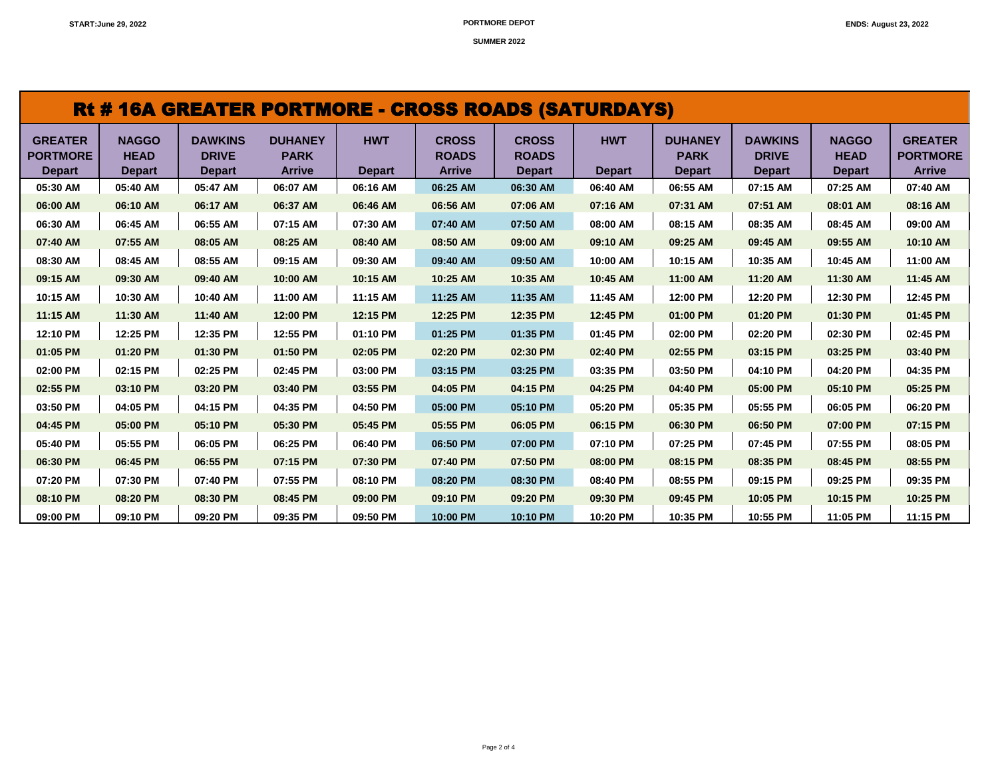|                                                    |                                              | <b>Rt # 16A GREATER PORTMORE - CROSS ROADS (SATURDAYS)</b> |                                                |                             |                                               |                                               |                             |                                                |                                                 |                                              |                                                    |
|----------------------------------------------------|----------------------------------------------|------------------------------------------------------------|------------------------------------------------|-----------------------------|-----------------------------------------------|-----------------------------------------------|-----------------------------|------------------------------------------------|-------------------------------------------------|----------------------------------------------|----------------------------------------------------|
| <b>GREATER</b><br><b>PORTMORE</b><br><b>Depart</b> | <b>NAGGO</b><br><b>HEAD</b><br><b>Depart</b> | <b>DAWKINS</b><br><b>DRIVE</b><br><b>Depart</b>            | <b>DUHANEY</b><br><b>PARK</b><br><b>Arrive</b> | <b>HWT</b><br><b>Depart</b> | <b>CROSS</b><br><b>ROADS</b><br><b>Arrive</b> | <b>CROSS</b><br><b>ROADS</b><br><b>Depart</b> | <b>HWT</b><br><b>Depart</b> | <b>DUHANEY</b><br><b>PARK</b><br><b>Depart</b> | <b>DAWKINS</b><br><b>DRIVE</b><br><b>Depart</b> | <b>NAGGO</b><br><b>HEAD</b><br><b>Depart</b> | <b>GREATER</b><br><b>PORTMORE</b><br><b>Arrive</b> |
| 05:30 AM                                           | 05:40 AM                                     | 05:47 AM                                                   | 06:07 AM                                       | 06:16 AM                    | 06:25 AM                                      | 06:30 AM                                      | 06:40 AM                    | 06:55 AM                                       | 07:15 AM                                        | 07:25 AM                                     | 07:40 AM                                           |
| 06:00 AM                                           | 06:10 AM                                     | 06:17 AM                                                   | 06:37 AM                                       | 06:46 AM                    | 06:56 AM                                      | 07:06 AM                                      | 07:16 AM                    | 07:31 AM                                       | 07:51 AM                                        | 08:01 AM                                     | 08:16 AM                                           |
| 06:30 AM                                           | 06:45 AM                                     | 06:55 AM                                                   | 07:15 AM                                       | 07:30 AM                    | 07:40 AM                                      | 07:50 AM                                      | 08:00 AM                    | 08:15 AM                                       | 08:35 AM                                        | 08:45 AM                                     | 09:00 AM                                           |
| 07:40 AM                                           | 07:55 AM                                     | 08:05 AM                                                   | 08:25 AM                                       | 08:40 AM                    | 08:50 AM                                      | 09:00 AM                                      | 09:10 AM                    | 09:25 AM                                       | 09:45 AM                                        | 09:55 AM                                     | 10:10 AM                                           |
| 08:30 AM                                           | 08:45 AM                                     | 08:55 AM                                                   | 09:15 AM                                       | 09:30 AM                    | 09:40 AM                                      | 09:50 AM                                      | 10:00 AM                    | 10:15 AM                                       | 10:35 AM                                        | 10:45 AM                                     | 11:00 AM                                           |
| 09:15 AM                                           | 09:30 AM                                     | 09:40 AM                                                   | 10:00 AM                                       | 10:15 AM                    | 10:25 AM                                      | 10:35 AM                                      | 10:45 AM                    | 11:00 AM                                       | 11:20 AM                                        | 11:30 AM                                     | 11:45 AM                                           |
| 10:15 AM                                           | 10:30 AM                                     | 10:40 AM                                                   | 11:00 AM                                       | 11:15 AM                    | 11:25 AM                                      | 11:35 AM                                      | 11:45 AM                    | 12:00 PM                                       | 12:20 PM                                        | 12:30 PM                                     | 12:45 PM                                           |
| 11:15 AM                                           | 11:30 AM                                     | 11:40 AM                                                   | 12:00 PM                                       | 12:15 PM                    | 12:25 PM                                      | 12:35 PM                                      | 12:45 PM                    | 01:00 PM                                       | 01:20 PM                                        | 01:30 PM                                     | 01:45 PM                                           |
| 12:10 PM                                           | 12:25 PM                                     | 12:35 PM                                                   | 12:55 PM                                       | 01:10 PM                    | 01:25 PM                                      | 01:35 PM                                      | 01:45 PM                    | 02:00 PM                                       | 02:20 PM                                        | 02:30 PM                                     | 02:45 PM                                           |
| 01:05 PM                                           | 01:20 PM                                     | 01:30 PM                                                   | 01:50 PM                                       | 02:05 PM                    | 02:20 PM                                      | 02:30 PM                                      | 02:40 PM                    | 02:55 PM                                       | 03:15 PM                                        | 03:25 PM                                     | 03:40 PM                                           |
| 02:00 PM                                           | 02:15 PM                                     | 02:25 PM                                                   | 02:45 PM                                       | 03:00 PM                    | 03:15 PM                                      | 03:25 PM                                      | 03:35 PM                    | 03:50 PM                                       | 04:10 PM                                        | 04:20 PM                                     | 04:35 PM                                           |
| 02:55 PM                                           | 03:10 PM                                     | 03:20 PM                                                   | 03:40 PM                                       | 03:55 PM                    | 04:05 PM                                      | 04:15 PM                                      | 04:25 PM                    | 04:40 PM                                       | 05:00 PM                                        | 05:10 PM                                     | 05:25 PM                                           |
| 03:50 PM                                           | 04:05 PM                                     | 04:15 PM                                                   | 04:35 PM                                       | 04:50 PM                    | 05:00 PM                                      | 05:10 PM                                      | 05:20 PM                    | 05:35 PM                                       | 05:55 PM                                        | 06:05 PM                                     | 06:20 PM                                           |
| 04:45 PM                                           | 05:00 PM                                     | 05:10 PM                                                   | 05:30 PM                                       | 05:45 PM                    | 05:55 PM                                      | 06:05 PM                                      | 06:15 PM                    | 06:30 PM                                       | 06:50 PM                                        | 07:00 PM                                     | 07:15 PM                                           |
| 05:40 PM                                           | 05:55 PM                                     | 06:05 PM                                                   | 06:25 PM                                       | 06:40 PM                    | 06:50 PM                                      | 07:00 PM                                      | 07:10 PM                    | 07:25 PM                                       | 07:45 PM                                        | 07:55 PM                                     | 08:05 PM                                           |
| 06:30 PM                                           | 06:45 PM                                     | 06:55 PM                                                   | 07:15 PM                                       | 07:30 PM                    | 07:40 PM                                      | 07:50 PM                                      | 08:00 PM                    | 08:15 PM                                       | 08:35 PM                                        | 08:45 PM                                     | 08:55 PM                                           |
| 07:20 PM                                           | 07:30 PM                                     | 07:40 PM                                                   | 07:55 PM                                       | 08:10 PM                    | 08:20 PM                                      | 08:30 PM                                      | 08:40 PM                    | 08:55 PM                                       | 09:15 PM                                        | 09:25 PM                                     | 09:35 PM                                           |
| 08:10 PM                                           | 08:20 PM                                     | 08:30 PM                                                   | 08:45 PM                                       | 09:00 PM                    | 09:10 PM                                      | 09:20 PM                                      | 09:30 PM                    | 09:45 PM                                       | 10:05 PM                                        | 10:15 PM                                     | 10:25 PM                                           |
| 09:00 PM                                           | 09:10 PM                                     | 09:20 PM                                                   | 09:35 PM                                       | 09:50 PM                    | 10:00 PM                                      | 10:10 PM                                      | 10:20 PM                    | 10:35 PM                                       | 10:55 PM                                        | 11:05 PM                                     | 11:15 PM                                           |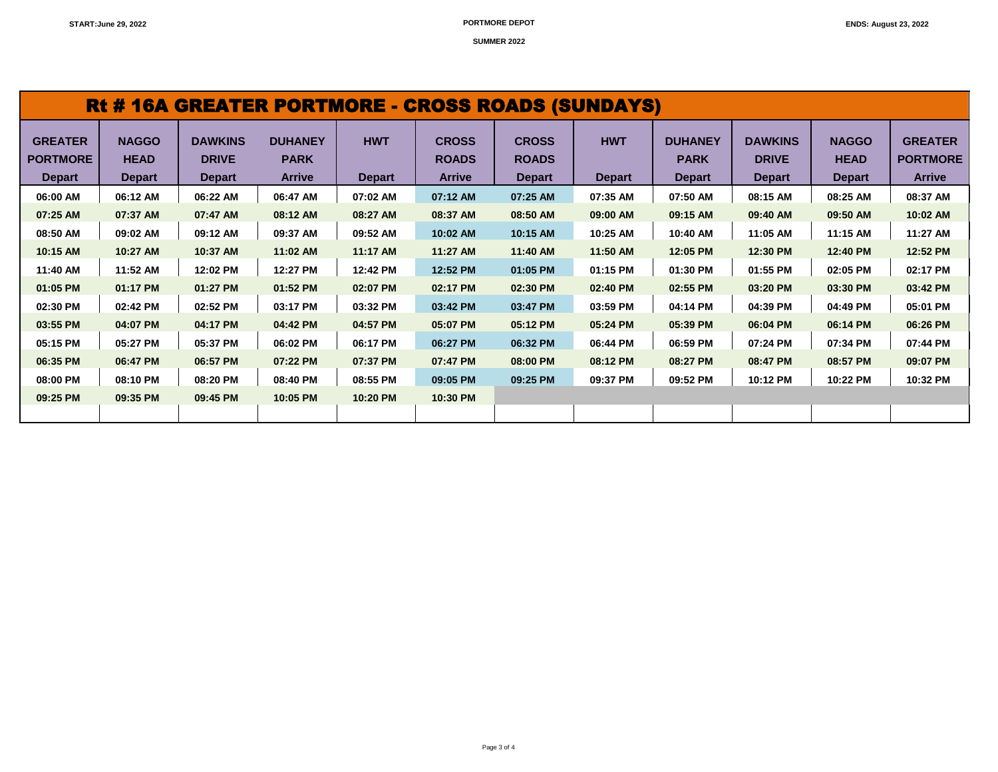| <b>Rt # 16A GREATER PORTMORE - CROSS ROADS (SUNDAYS)</b> |                                              |                                                 |                                                |                             |                                               |                                               |                             |                                                |                                                 |                                              |                                                    |  |  |
|----------------------------------------------------------|----------------------------------------------|-------------------------------------------------|------------------------------------------------|-----------------------------|-----------------------------------------------|-----------------------------------------------|-----------------------------|------------------------------------------------|-------------------------------------------------|----------------------------------------------|----------------------------------------------------|--|--|
| <b>GREATER</b><br><b>PORTMORE</b><br><b>Depart</b>       | <b>NAGGO</b><br><b>HEAD</b><br><b>Depart</b> | <b>DAWKINS</b><br><b>DRIVE</b><br><b>Depart</b> | <b>DUHANEY</b><br><b>PARK</b><br><b>Arrive</b> | <b>HWT</b><br><b>Depart</b> | <b>CROSS</b><br><b>ROADS</b><br><b>Arrive</b> | <b>CROSS</b><br><b>ROADS</b><br><b>Depart</b> | <b>HWT</b><br><b>Depart</b> | <b>DUHANEY</b><br><b>PARK</b><br><b>Depart</b> | <b>DAWKINS</b><br><b>DRIVE</b><br><b>Depart</b> | <b>NAGGO</b><br><b>HEAD</b><br><b>Depart</b> | <b>GREATER</b><br><b>PORTMORE</b><br><b>Arrive</b> |  |  |
| 06:00 AM                                                 | 06:12 AM                                     | 06:22 AM                                        | 06:47 AM                                       | 07:02 AM                    | 07:12 AM                                      | 07:25 AM                                      | 07:35 AM                    | 07:50 AM                                       | 08:15 AM                                        | 08:25 AM                                     | 08:37 AM                                           |  |  |
| 07:25 AM                                                 | 07:37 AM                                     | 07:47 AM                                        | 08:12 AM                                       | 08:27 AM                    | 08:37 AM                                      | 08:50 AM                                      | 09:00 AM                    | 09:15 AM                                       | 09:40 AM                                        | 09:50 AM                                     | 10:02 AM                                           |  |  |
| 08:50 AM                                                 | 09:02 AM                                     | 09:12 AM                                        | 09:37 AM                                       | 09:52 AM                    | 10:02 AM                                      | 10:15 AM                                      | 10:25 AM                    | 10:40 AM                                       | 11:05 AM                                        | 11:15 AM                                     | 11:27 AM                                           |  |  |
| 10:15 AM                                                 | 10:27 AM                                     | 10:37 AM                                        | 11:02 AM                                       | 11:17 AM                    | 11:27 AM                                      | 11:40 AM                                      | 11:50 AM                    | 12:05 PM                                       | 12:30 PM                                        | 12:40 PM                                     | 12:52 PM                                           |  |  |
| 11:40 AM                                                 | 11:52 AM                                     | 12:02 PM                                        | 12:27 PM                                       | 12:42 PM                    | 12:52 PM                                      | 01:05 PM                                      | 01:15 PM                    | 01:30 PM                                       | 01:55 PM                                        | 02:05 PM                                     | 02:17 PM                                           |  |  |
| 01:05 PM                                                 | 01:17 PM                                     | 01:27 PM                                        | 01:52 PM                                       | 02:07 PM                    | 02:17 PM                                      | 02:30 PM                                      | 02:40 PM                    | 02:55 PM                                       | 03:20 PM                                        | 03:30 PM                                     | 03:42 PM                                           |  |  |
| 02:30 PM                                                 | 02:42 PM                                     | 02:52 PM                                        | 03:17 PM                                       | 03:32 PM                    | 03:42 PM                                      | 03:47 PM                                      | 03:59 PM                    | 04:14 PM                                       | 04:39 PM                                        | 04:49 PM                                     | 05:01 PM                                           |  |  |
| 03:55 PM                                                 | 04:07 PM                                     | 04:17 PM                                        | 04:42 PM                                       | 04:57 PM                    | 05:07 PM                                      | 05:12 PM                                      | 05:24 PM                    | 05:39 PM                                       | 06:04 PM                                        | 06:14 PM                                     | 06:26 PM                                           |  |  |
| 05:15 PM                                                 | 05:27 PM                                     | 05:37 PM                                        | 06:02 PM                                       | 06:17 PM                    | 06:27 PM                                      | 06:32 PM                                      | 06:44 PM                    | 06:59 PM                                       | 07:24 PM                                        | 07:34 PM                                     | 07:44 PM                                           |  |  |
| 06:35 PM                                                 | 06:47 PM                                     | 06:57 PM                                        | 07:22 PM                                       | 07:37 PM                    | 07:47 PM                                      | 08:00 PM                                      | 08:12 PM                    | 08:27 PM                                       | 08:47 PM                                        | 08:57 PM                                     | 09:07 PM                                           |  |  |
| 08:00 PM                                                 | 08:10 PM                                     | 08:20 PM                                        | 08:40 PM                                       | 08:55 PM                    | 09:05 PM                                      | 09:25 PM                                      | 09:37 PM                    | 09:52 PM                                       | 10:12 PM                                        | 10:22 PM                                     | 10:32 PM                                           |  |  |
| 09:25 PM                                                 | 09:35 PM                                     | 09:45 PM                                        | 10:05 PM                                       | 10:20 PM                    | 10:30 PM                                      |                                               |                             |                                                |                                                 |                                              |                                                    |  |  |
|                                                          |                                              |                                                 |                                                |                             |                                               |                                               |                             |                                                |                                                 |                                              |                                                    |  |  |